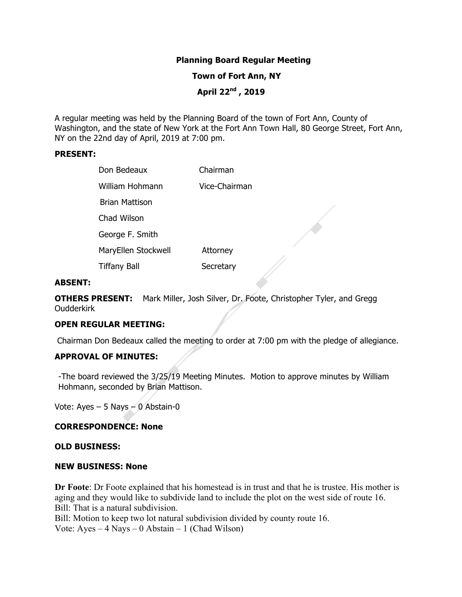# **Planning Board Regular Meeting**

 **Town of Fort Ann, NY**

 **April 22nd , 2019**

A regular meeting was held by the Planning Board of the town of Fort Ann, County of Washington, and the state of New York at the Fort Ann Town Hall, 80 George Street, Fort Ann, NY on the 22nd day of April, 2019 at 7:00 pm.

#### **PRESENT:**

| Don Bedeaux         | Chairman      |
|---------------------|---------------|
| William Hohmann     | Vice-Chairman |
| Brian Mattison      |               |
| Chad Wilson         |               |
| George F. Smith     |               |
| MaryEllen Stockwell | Attorney      |
| <b>Tiffany Ball</b> | Secretary     |

#### **ABSENT:**

**OTHERS PRESENT:** Mark Miller, Josh Silver, Dr. Foote, Christopher Tyler, and Gregg **Oudderkirk** 

#### **OPEN REGULAR MEETING:**

Chairman Don Bedeaux called the meeting to order at 7:00 pm with the pledge of allegiance.

# **APPROVAL OF MINUTES:**

-The board reviewed the 3/25/19 Meeting Minutes. Motion to approve minutes by William Hohmann, seconded by Brian Mattison.

Vote: Ayes – 5 Nays  $-$  0 Abstain-0

# **CORRESPONDENCE: None**

#### **OLD BUSINESS:**

#### **NEW BUSINESS: None**

**Dr Foote**: Dr Foote explained that his homestead is in trust and that he is trustee. His mother is aging and they would like to subdivide land to include the plot on the west side of route 16. Bill: That is a natural subdivision.

Bill: Motion to keep two lot natural subdivision divided by county route 16. Vote:  $Aves - 4 Nays - 0$  Abstain – 1 (Chad Wilson)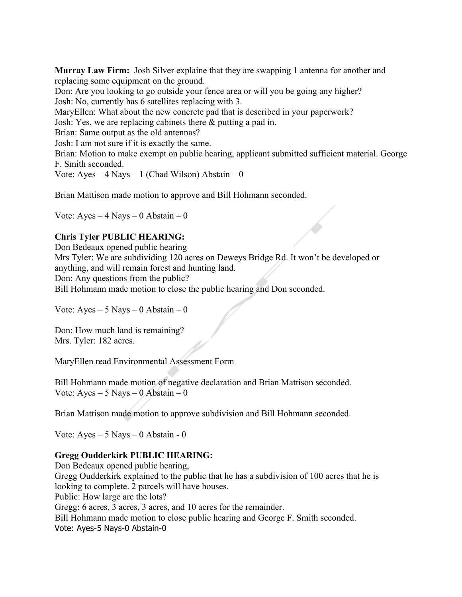**Murray Law Firm:** Josh Silver explaine that they are swapping 1 antenna for another and replacing some equipment on the ground.

Don: Are you looking to go outside your fence area or will you be going any higher? Josh: No, currently has 6 satellites replacing with 3.

MaryEllen: What about the new concrete pad that is described in your paperwork?

Josh: Yes, we are replacing cabinets there & putting a pad in.

Brian: Same output as the old antennas?

Josh: I am not sure if it is exactly the same.

Brian: Motion to make exempt on public hearing, applicant submitted sufficient material. George F. Smith seconded.

Vote: Ayes  $-4$  Nays  $-1$  (Chad Wilson) Abstain  $-0$ 

Brian Mattison made motion to approve and Bill Hohmann seconded.

Vote:  $Ayes - 4$  Nays  $- 0$  Abstain  $- 0$ 

# **Chris Tyler PUBLIC HEARING:**

Don Bedeaux opened public hearing

Mrs Tyler: We are subdividing 120 acres on Deweys Bridge Rd. It won't be developed or anything, and will remain forest and hunting land.

Don: Any questions from the public?

Bill Hohmann made motion to close the public hearing and Don seconded.

Vote:  $Ayes - 5$  Nays  $-0$  Abstain  $-0$ 

Don: How much land is remaining? Mrs. Tyler: 182 acres.

MaryEllen read Environmental Assessment Form

Bill Hohmann made motion of negative declaration and Brian Mattison seconded. Vote:  $Ayes - 5$  Nays – 0 Abstain – 0

Brian Mattison made motion to approve subdivision and Bill Hohmann seconded.

Vote: Ayes – 5 Nays – 0 Abstain - 0

# **Gregg Oudderkirk PUBLIC HEARING:**

Don Bedeaux opened public hearing, Gregg Oudderkirk explained to the public that he has a subdivision of 100 acres that he is looking to complete. 2 parcels will have houses. Public: How large are the lots? Gregg: 6 acres, 3 acres, 3 acres, and 10 acres for the remainder. Bill Hohmann made motion to close public hearing and George F. Smith seconded. Vote: Ayes-5 Nays-0 Abstain-0